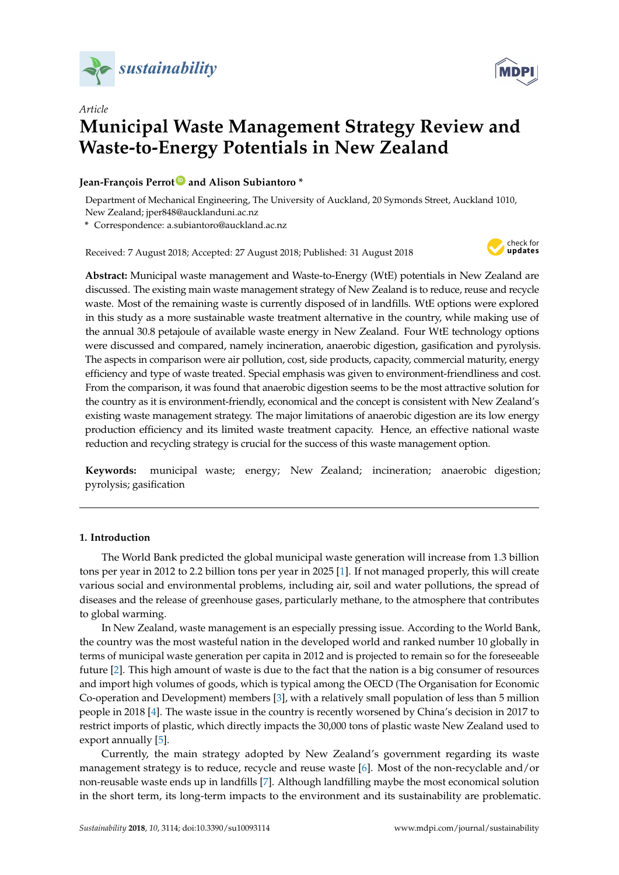



# *Article* **Municipal Waste Management Strategy Review and Waste-to-Energy Potentials in New Zealand**

# **Jean-François Perrot [ID](https://orcid.org/0000-0002-9036-278X) and Alison Subiantoro \***

Department of Mechanical Engineering, The University of Auckland, 20 Symonds Street, Auckland 1010, New Zealand; jper848@aucklanduni.ac.nz

**\*** Correspondence: a.subiantoro@auckland.ac.nz

Received: 7 August 2018; Accepted: 27 August 2018; Published: 31 August 2018



**Abstract:** Municipal waste management and Waste-to-Energy (WtE) potentials in New Zealand are discussed. The existing main waste management strategy of New Zealand is to reduce, reuse and recycle waste. Most of the remaining waste is currently disposed of in landfills. WtE options were explored in this study as a more sustainable waste treatment alternative in the country, while making use of the annual 30.8 petajoule of available waste energy in New Zealand. Four WtE technology options were discussed and compared, namely incineration, anaerobic digestion, gasification and pyrolysis. The aspects in comparison were air pollution, cost, side products, capacity, commercial maturity, energy efficiency and type of waste treated. Special emphasis was given to environment-friendliness and cost. From the comparison, it was found that anaerobic digestion seems to be the most attractive solution for the country as it is environment-friendly, economical and the concept is consistent with New Zealand's existing waste management strategy. The major limitations of anaerobic digestion are its low energy production efficiency and its limited waste treatment capacity. Hence, an effective national waste reduction and recycling strategy is crucial for the success of this waste management option.

**Keywords:** municipal waste; energy; New Zealand; incineration; anaerobic digestion; pyrolysis; gasification

# **1. Introduction**

The World Bank predicted the global municipal waste generation will increase from 1.3 billion tons per year in 2012 to 2.2 billion tons per year in 2025 [\[1\]](#page-9-0). If not managed properly, this will create various social and environmental problems, including air, soil and water pollutions, the spread of diseases and the release of greenhouse gases, particularly methane, to the atmosphere that contributes to global warming.

In New Zealand, waste management is an especially pressing issue. According to the World Bank, the country was the most wasteful nation in the developed world and ranked number 10 globally in terms of municipal waste generation per capita in 2012 and is projected to remain so for the foreseeable future [\[2\]](#page-9-1). This high amount of waste is due to the fact that the nation is a big consumer of resources and import high volumes of goods, which is typical among the OECD (The Organisation for Economic Co-operation and Development) members [\[3\]](#page-9-2), with a relatively small population of less than 5 million people in 2018 [\[4\]](#page-9-3). The waste issue in the country is recently worsened by China's decision in 2017 to restrict imports of plastic, which directly impacts the 30,000 tons of plastic waste New Zealand used to export annually [\[5\]](#page-9-4).

Currently, the main strategy adopted by New Zealand's government regarding its waste management strategy is to reduce, recycle and reuse waste [\[6\]](#page-9-5). Most of the non-recyclable and/or non-reusable waste ends up in landfills [\[7\]](#page-9-6). Although landfilling maybe the most economical solution in the short term, its long-term impacts to the environment and its sustainability are problematic.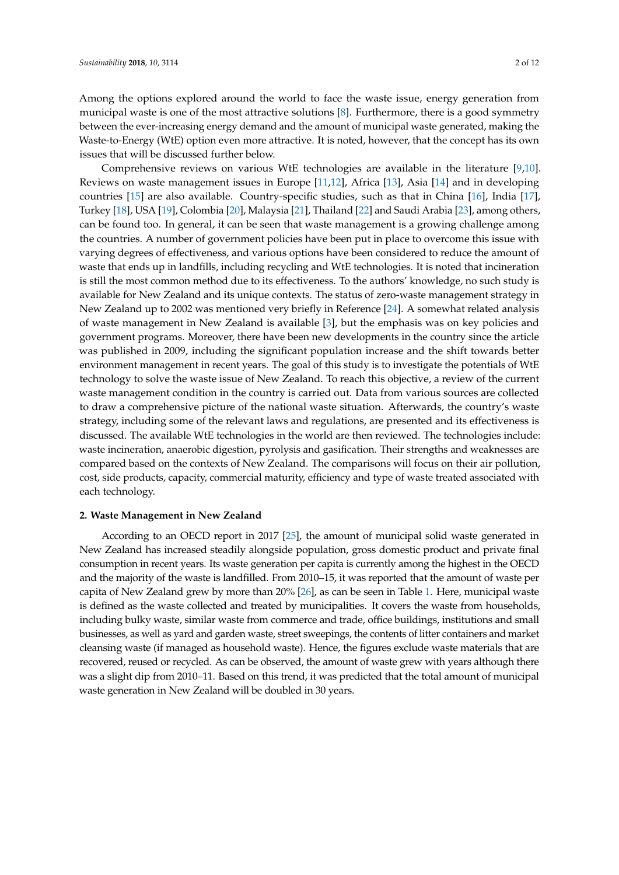Among the options explored around the world to face the waste issue, energy generation from municipal waste is one of the most attractive solutions [\[8\]](#page-9-7). Furthermore, there is a good symmetry between the ever-increasing energy demand and the amount of municipal waste generated, making the Waste-to-Energy (WtE) option even more attractive. It is noted, however, that the concept has its own issues that will be discussed further below.

Comprehensive reviews on various WtE technologies are available in the literature [\[9,](#page-9-8)[10\]](#page-9-9). Reviews on waste management issues in Europe [\[11,](#page-9-10)[12\]](#page-9-11), Africa [\[13\]](#page-9-12), Asia [\[14\]](#page-9-13) and in developing countries [\[15\]](#page-10-0) are also available. Country-specific studies, such as that in China [\[16\]](#page-10-1), India [\[17\]](#page-10-2), Turkey [\[18\]](#page-10-3), USA [\[19\]](#page-10-4), Colombia [\[20\]](#page-10-5), Malaysia [\[21\]](#page-10-6), Thailand [\[22\]](#page-10-7) and Saudi Arabia [\[23\]](#page-10-8), among others, can be found too. In general, it can be seen that waste management is a growing challenge among the countries. A number of government policies have been put in place to overcome this issue with varying degrees of effectiveness, and various options have been considered to reduce the amount of waste that ends up in landfills, including recycling and WtE technologies. It is noted that incineration is still the most common method due to its effectiveness. To the authors' knowledge, no such study is available for New Zealand and its unique contexts. The status of zero-waste management strategy in New Zealand up to 2002 was mentioned very briefly in Reference [\[24\]](#page-10-9). A somewhat related analysis of waste management in New Zealand is available [\[3\]](#page-9-2), but the emphasis was on key policies and government programs. Moreover, there have been new developments in the country since the article was published in 2009, including the significant population increase and the shift towards better environment management in recent years. The goal of this study is to investigate the potentials of WtE technology to solve the waste issue of New Zealand. To reach this objective, a review of the current waste management condition in the country is carried out. Data from various sources are collected to draw a comprehensive picture of the national waste situation. Afterwards, the country's waste strategy, including some of the relevant laws and regulations, are presented and its effectiveness is discussed. The available WtE technologies in the world are then reviewed. The technologies include: waste incineration, anaerobic digestion, pyrolysis and gasification. Their strengths and weaknesses are compared based on the contexts of New Zealand. The comparisons will focus on their air pollution, cost, side products, capacity, commercial maturity, efficiency and type of waste treated associated with each technology.

## **2. Waste Management in New Zealand**

According to an OECD report in 2017 [\[25\]](#page-10-10), the amount of municipal solid waste generated in New Zealand has increased steadily alongside population, gross domestic product and private final consumption in recent years. Its waste generation per capita is currently among the highest in the OECD and the majority of the waste is landfilled. From 2010–15, it was reported that the amount of waste per capita of New Zealand grew by more than 20% [\[26\]](#page-10-11), as can be seen in Table [1.](#page-2-0) Here, municipal waste is defined as the waste collected and treated by municipalities. It covers the waste from households, including bulky waste, similar waste from commerce and trade, office buildings, institutions and small businesses, as well as yard and garden waste, street sweepings, the contents of litter containers and market cleansing waste (if managed as household waste). Hence, the figures exclude waste materials that are recovered, reused or recycled. As can be observed, the amount of waste grew with years although there was a slight dip from 2010–11. Based on this trend, it was predicted that the total amount of municipal waste generation in New Zealand will be doubled in 30 years.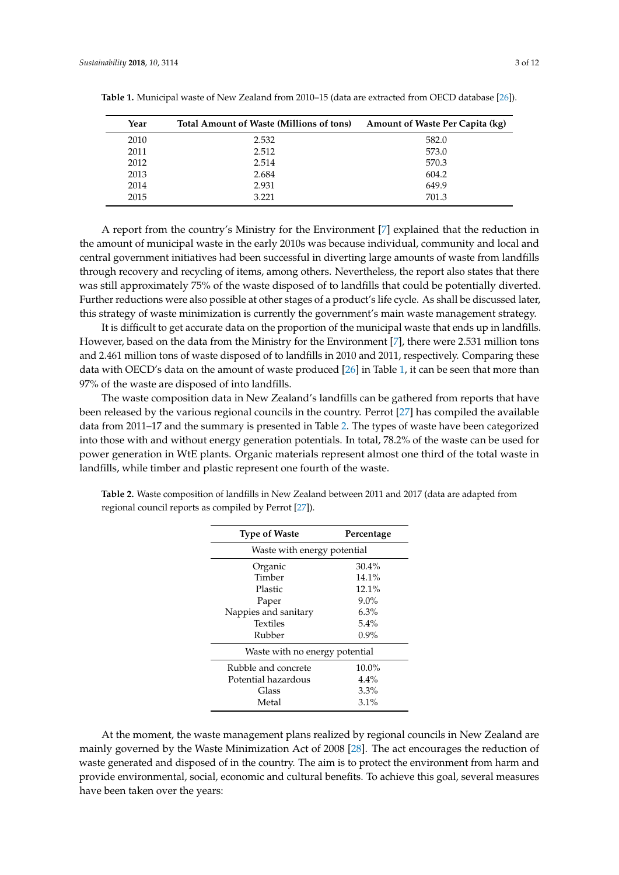| Year | Total Amount of Waste (Millions of tons) | <b>Amount of Waste Per Capita (kg)</b> |
|------|------------------------------------------|----------------------------------------|
| 2010 | 2.532                                    | 582.0                                  |
| 2011 | 2.512                                    | 573.0                                  |
| 2012 | 2.514                                    | 570.3                                  |
| 2013 | 2.684                                    | 604.2                                  |
| 2014 | 2.931                                    | 649.9                                  |
| 2015 | 3.221                                    | 701.3                                  |

<span id="page-2-0"></span>**Table 1.** Municipal waste of New Zealand from 2010–15 (data are extracted from OECD database [\[26\]](#page-10-11)).

A report from the country's Ministry for the Environment [\[7\]](#page-9-6) explained that the reduction in the amount of municipal waste in the early 2010s was because individual, community and local and central government initiatives had been successful in diverting large amounts of waste from landfills through recovery and recycling of items, among others. Nevertheless, the report also states that there was still approximately 75% of the waste disposed of to landfills that could be potentially diverted. Further reductions were also possible at other stages of a product's life cycle. As shall be discussed later, this strategy of waste minimization is currently the government's main waste management strategy.

It is difficult to get accurate data on the proportion of the municipal waste that ends up in landfills. However, based on the data from the Ministry for the Environment [\[7\]](#page-9-6), there were 2.531 million tons and 2.461 million tons of waste disposed of to landfills in 2010 and 2011, respectively. Comparing these data with OECD's data on the amount of waste produced [\[26\]](#page-10-11) in Table [1,](#page-2-0) it can be seen that more than 97% of the waste are disposed of into landfills.

The waste composition data in New Zealand's landfills can be gathered from reports that have been released by the various regional councils in the country. Perrot [\[27\]](#page-10-12) has compiled the available data from 2011–17 and the summary is presented in Table [2.](#page-2-1) The types of waste have been categorized into those with and without energy generation potentials. In total, 78.2% of the waste can be used for power generation in WtE plants. Organic materials represent almost one third of the total waste in landfills, while timber and plastic represent one fourth of the waste.

| <b>Type of Waste</b>           | Percentage |  |  |  |
|--------------------------------|------------|--|--|--|
| Waste with energy potential    |            |  |  |  |
| Organic                        | 30.4%      |  |  |  |
| Timber                         | 14.1%      |  |  |  |
| Plastic                        | $12.1\%$   |  |  |  |
| Paper                          | $9.0\%$    |  |  |  |
| Nappies and sanitary           | 6.3%       |  |  |  |
| Textiles                       | 5.4%       |  |  |  |
| Rubber                         | $0.9\%$    |  |  |  |
| Waste with no energy potential |            |  |  |  |
| Rubble and concrete            | 10.0%      |  |  |  |
| Potential hazardous            | $4.4\%$    |  |  |  |
| Glass                          | 3.3%       |  |  |  |
| Metal                          | 3.1%       |  |  |  |

<span id="page-2-1"></span>**Table 2.** Waste composition of landfills in New Zealand between 2011 and 2017 (data are adapted from regional council reports as compiled by Perrot [\[27\]](#page-10-12)).

At the moment, the waste management plans realized by regional councils in New Zealand are mainly governed by the Waste Minimization Act of 2008 [\[28\]](#page-10-13). The act encourages the reduction of waste generated and disposed of in the country. The aim is to protect the environment from harm and provide environmental, social, economic and cultural benefits. To achieve this goal, several measures have been taken over the years: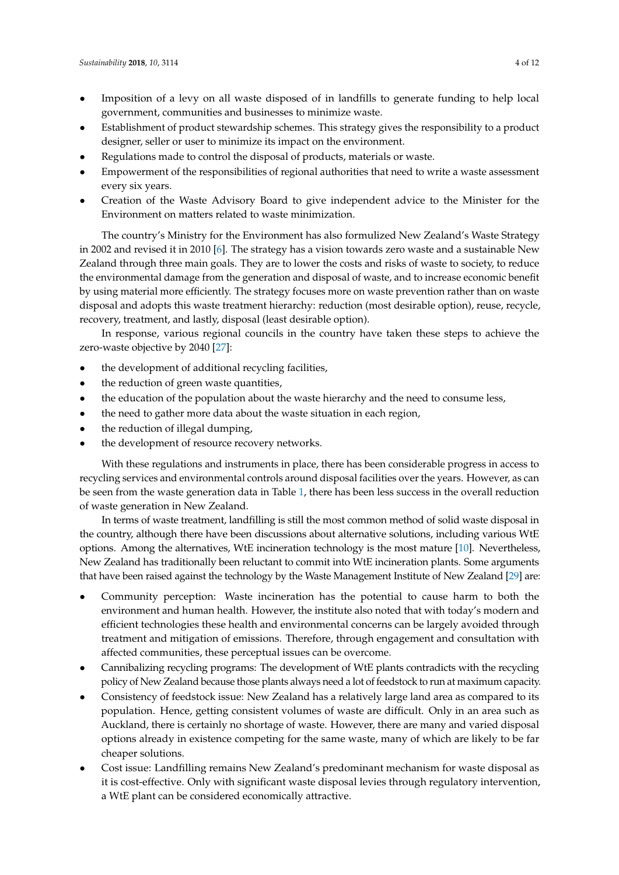- Imposition of a levy on all waste disposed of in landfills to generate funding to help local government, communities and businesses to minimize waste.
- Establishment of product stewardship schemes. This strategy gives the responsibility to a product designer, seller or user to minimize its impact on the environment.
- Regulations made to control the disposal of products, materials or waste.
- Empowerment of the responsibilities of regional authorities that need to write a waste assessment every six years.
- Creation of the Waste Advisory Board to give independent advice to the Minister for the Environment on matters related to waste minimization.

The country's Ministry for the Environment has also formulized New Zealand's Waste Strategy in 2002 and revised it in 2010 [\[6\]](#page-9-5). The strategy has a vision towards zero waste and a sustainable New Zealand through three main goals. They are to lower the costs and risks of waste to society, to reduce the environmental damage from the generation and disposal of waste, and to increase economic benefit by using material more efficiently. The strategy focuses more on waste prevention rather than on waste disposal and adopts this waste treatment hierarchy: reduction (most desirable option), reuse, recycle, recovery, treatment, and lastly, disposal (least desirable option).

In response, various regional councils in the country have taken these steps to achieve the zero-waste objective by 2040 [\[27\]](#page-10-12):

- the development of additional recycling facilities,
- the reduction of green waste quantities,
- the education of the population about the waste hierarchy and the need to consume less,
- the need to gather more data about the waste situation in each region,
- the reduction of illegal dumping,
- the development of resource recovery networks.

With these regulations and instruments in place, there has been considerable progress in access to recycling services and environmental controls around disposal facilities over the years. However, as can be seen from the waste generation data in Table [1,](#page-2-0) there has been less success in the overall reduction of waste generation in New Zealand.

In terms of waste treatment, landfilling is still the most common method of solid waste disposal in the country, although there have been discussions about alternative solutions, including various WtE options. Among the alternatives, WtE incineration technology is the most mature [\[10\]](#page-9-9). Nevertheless, New Zealand has traditionally been reluctant to commit into WtE incineration plants. Some arguments that have been raised against the technology by the Waste Management Institute of New Zealand [\[29\]](#page-10-14) are:

- Community perception: Waste incineration has the potential to cause harm to both the environment and human health. However, the institute also noted that with today's modern and efficient technologies these health and environmental concerns can be largely avoided through treatment and mitigation of emissions. Therefore, through engagement and consultation with affected communities, these perceptual issues can be overcome.
- Cannibalizing recycling programs: The development of WtE plants contradicts with the recycling policy of New Zealand because those plants always need a lot of feedstock to run at maximum capacity.
- Consistency of feedstock issue: New Zealand has a relatively large land area as compared to its population. Hence, getting consistent volumes of waste are difficult. Only in an area such as Auckland, there is certainly no shortage of waste. However, there are many and varied disposal options already in existence competing for the same waste, many of which are likely to be far cheaper solutions.
- Cost issue: Landfilling remains New Zealand's predominant mechanism for waste disposal as it is cost-effective. Only with significant waste disposal levies through regulatory intervention, a WtE plant can be considered economically attractive.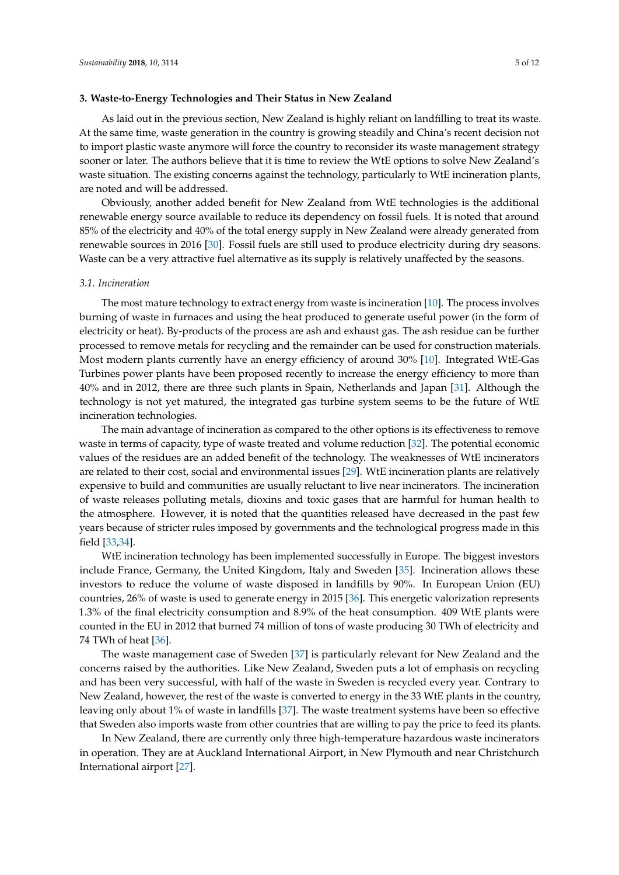#### **3. Waste-to-Energy Technologies and Their Status in New Zealand**

As laid out in the previous section, New Zealand is highly reliant on landfilling to treat its waste. At the same time, waste generation in the country is growing steadily and China's recent decision not to import plastic waste anymore will force the country to reconsider its waste management strategy sooner or later. The authors believe that it is time to review the WtE options to solve New Zealand's waste situation. The existing concerns against the technology, particularly to WtE incineration plants, are noted and will be addressed.

Obviously, another added benefit for New Zealand from WtE technologies is the additional renewable energy source available to reduce its dependency on fossil fuels. It is noted that around 85% of the electricity and 40% of the total energy supply in New Zealand were already generated from renewable sources in 2016 [\[30\]](#page-10-15). Fossil fuels are still used to produce electricity during dry seasons. Waste can be a very attractive fuel alternative as its supply is relatively unaffected by the seasons.

#### *3.1. Incineration*

The most mature technology to extract energy from waste is incineration [\[10\]](#page-9-9). The process involves burning of waste in furnaces and using the heat produced to generate useful power (in the form of electricity or heat). By-products of the process are ash and exhaust gas. The ash residue can be further processed to remove metals for recycling and the remainder can be used for construction materials. Most modern plants currently have an energy efficiency of around 30% [\[10\]](#page-9-9). Integrated WtE-Gas Turbines power plants have been proposed recently to increase the energy efficiency to more than 40% and in 2012, there are three such plants in Spain, Netherlands and Japan [\[31\]](#page-10-16). Although the technology is not yet matured, the integrated gas turbine system seems to be the future of WtE incineration technologies.

The main advantage of incineration as compared to the other options is its effectiveness to remove waste in terms of capacity, type of waste treated and volume reduction [\[32\]](#page-10-17). The potential economic values of the residues are an added benefit of the technology. The weaknesses of WtE incinerators are related to their cost, social and environmental issues [\[29\]](#page-10-14). WtE incineration plants are relatively expensive to build and communities are usually reluctant to live near incinerators. The incineration of waste releases polluting metals, dioxins and toxic gases that are harmful for human health to the atmosphere. However, it is noted that the quantities released have decreased in the past few years because of stricter rules imposed by governments and the technological progress made in this field [\[33,](#page-10-18)[34\]](#page-10-19).

WtE incineration technology has been implemented successfully in Europe. The biggest investors include France, Germany, the United Kingdom, Italy and Sweden [\[35\]](#page-10-20). Incineration allows these investors to reduce the volume of waste disposed in landfills by 90%. In European Union (EU) countries, 26% of waste is used to generate energy in 2015 [\[36\]](#page-10-21). This energetic valorization represents 1.3% of the final electricity consumption and 8.9% of the heat consumption. 409 WtE plants were counted in the EU in 2012 that burned 74 million of tons of waste producing 30 TWh of electricity and 74 TWh of heat [\[36\]](#page-10-21).

The waste management case of Sweden [\[37\]](#page-10-22) is particularly relevant for New Zealand and the concerns raised by the authorities. Like New Zealand, Sweden puts a lot of emphasis on recycling and has been very successful, with half of the waste in Sweden is recycled every year. Contrary to New Zealand, however, the rest of the waste is converted to energy in the 33 WtE plants in the country, leaving only about 1% of waste in landfills [\[37\]](#page-10-22). The waste treatment systems have been so effective that Sweden also imports waste from other countries that are willing to pay the price to feed its plants.

In New Zealand, there are currently only three high-temperature hazardous waste incinerators in operation. They are at Auckland International Airport, in New Plymouth and near Christchurch International airport [\[27\]](#page-10-12).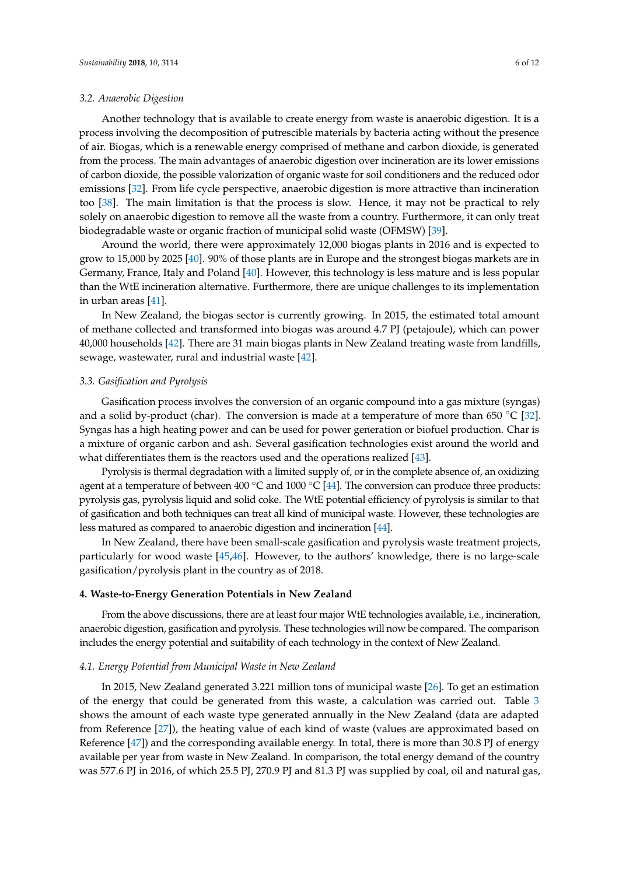#### *3.2. Anaerobic Digestion*

Another technology that is available to create energy from waste is anaerobic digestion. It is a process involving the decomposition of putrescible materials by bacteria acting without the presence of air. Biogas, which is a renewable energy comprised of methane and carbon dioxide, is generated from the process. The main advantages of anaerobic digestion over incineration are its lower emissions of carbon dioxide, the possible valorization of organic waste for soil conditioners and the reduced odor emissions [\[32\]](#page-10-17). From life cycle perspective, anaerobic digestion is more attractive than incineration too [\[38\]](#page-10-23). The main limitation is that the process is slow. Hence, it may not be practical to rely solely on anaerobic digestion to remove all the waste from a country. Furthermore, it can only treat biodegradable waste or organic fraction of municipal solid waste (OFMSW) [\[39\]](#page-10-24).

Around the world, there were approximately 12,000 biogas plants in 2016 and is expected to grow to 15,000 by 2025 [\[40\]](#page-11-0). 90% of those plants are in Europe and the strongest biogas markets are in Germany, France, Italy and Poland [\[40\]](#page-11-0). However, this technology is less mature and is less popular than the WtE incineration alternative. Furthermore, there are unique challenges to its implementation in urban areas [\[41\]](#page-11-1).

In New Zealand, the biogas sector is currently growing. In 2015, the estimated total amount of methane collected and transformed into biogas was around 4.7 PJ (petajoule), which can power 40,000 households [\[42\]](#page-11-2). There are 31 main biogas plants in New Zealand treating waste from landfills, sewage, wastewater, rural and industrial waste [\[42\]](#page-11-2).

## *3.3. Gasification and Pyrolysis*

Gasification process involves the conversion of an organic compound into a gas mixture (syngas) and a solid by-product (char). The conversion is made at a temperature of more than 650  $\degree$ C [\[32\]](#page-10-17). Syngas has a high heating power and can be used for power generation or biofuel production. Char is a mixture of organic carbon and ash. Several gasification technologies exist around the world and what differentiates them is the reactors used and the operations realized [\[43\]](#page-11-3).

Pyrolysis is thermal degradation with a limited supply of, or in the complete absence of, an oxidizing agent at a temperature of between 400  $\degree$ C and 1000  $\degree$ C [\[44\]](#page-11-4). The conversion can produce three products: pyrolysis gas, pyrolysis liquid and solid coke. The WtE potential efficiency of pyrolysis is similar to that of gasification and both techniques can treat all kind of municipal waste. However, these technologies are less matured as compared to anaerobic digestion and incineration [\[44\]](#page-11-4).

In New Zealand, there have been small-scale gasification and pyrolysis waste treatment projects, particularly for wood waste [\[45](#page-11-5)[,46\]](#page-11-6). However, to the authors' knowledge, there is no large-scale gasification/pyrolysis plant in the country as of 2018.

#### **4. Waste-to-Energy Generation Potentials in New Zealand**

From the above discussions, there are at least four major WtE technologies available, i.e., incineration, anaerobic digestion, gasification and pyrolysis. These technologies will now be compared. The comparison includes the energy potential and suitability of each technology in the context of New Zealand.

#### *4.1. Energy Potential from Municipal Waste in New Zealand*

In 2015, New Zealand generated 3.221 million tons of municipal waste [\[26\]](#page-10-11). To get an estimation of the energy that could be generated from this waste, a calculation was carried out. Table [3](#page-6-0) shows the amount of each waste type generated annually in the New Zealand (data are adapted from Reference [\[27\]](#page-10-12)), the heating value of each kind of waste (values are approximated based on Reference [\[47\]](#page-11-7)) and the corresponding available energy. In total, there is more than 30.8 PJ of energy available per year from waste in New Zealand. In comparison, the total energy demand of the country was 577.6 PJ in 2016, of which 25.5 PJ, 270.9 PJ and 81.3 PJ was supplied by coal, oil and natural gas,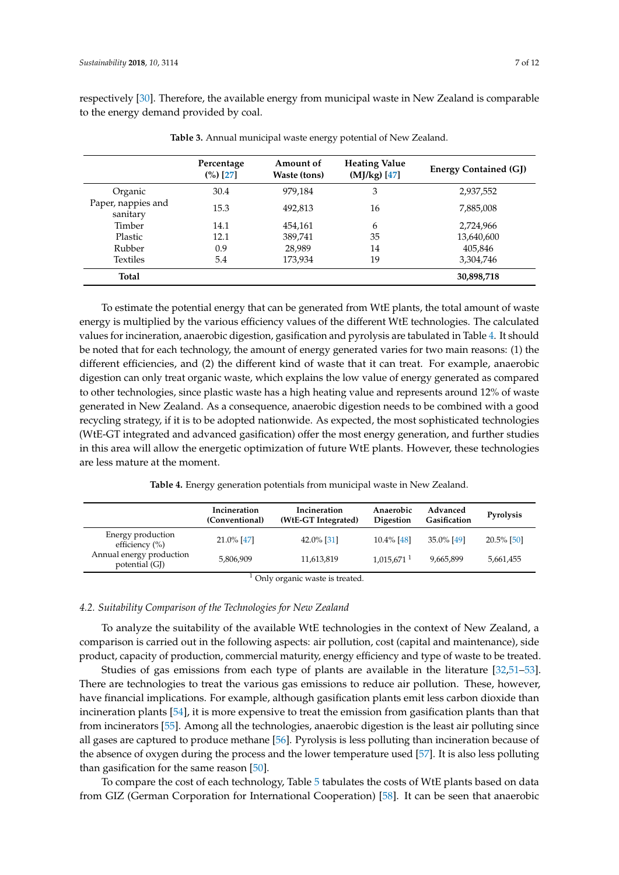respectively [\[30\]](#page-10-15). Therefore, the available energy from municipal waste in New Zealand is comparable to the energy demand provided by coal.

<span id="page-6-0"></span>

|                                | Percentage<br>$(\%)$ [27] | Amount of<br>Waste (tons) | <b>Heating Value</b><br>(MJ/kg) [47] | <b>Energy Contained (GJ)</b> |
|--------------------------------|---------------------------|---------------------------|--------------------------------------|------------------------------|
| Organic                        | 30.4                      | 979.184                   | 3                                    | 2,937,552                    |
| Paper, nappies and<br>sanitary | 15.3                      | 492,813                   | 16                                   | 7,885,008                    |
| Timber                         | 14.1                      | 454,161                   | 6                                    | 2,724,966                    |
| Plastic                        | 12.1                      | 389,741                   | 35                                   | 13,640,600                   |
| Rubber                         | 0.9                       | 28,989                    | 14                                   | 405,846                      |
| Textiles                       | 5.4                       | 173.934                   | 19                                   | 3,304,746                    |
| <b>Total</b>                   |                           |                           |                                      | 30,898,718                   |

**Table 3.** Annual municipal waste energy potential of New Zealand.

To estimate the potential energy that can be generated from WtE plants, the total amount of waste energy is multiplied by the various efficiency values of the different WtE technologies. The calculated values for incineration, anaerobic digestion, gasification and pyrolysis are tabulated in Table [4.](#page-6-1) It should be noted that for each technology, the amount of energy generated varies for two main reasons: (1) the different efficiencies, and (2) the different kind of waste that it can treat. For example, anaerobic digestion can only treat organic waste, which explains the low value of energy generated as compared to other technologies, since plastic waste has a high heating value and represents around 12% of waste generated in New Zealand. As a consequence, anaerobic digestion needs to be combined with a good recycling strategy, if it is to be adopted nationwide. As expected, the most sophisticated technologies (WtE-GT integrated and advanced gasification) offer the most energy generation, and further studies in this area will allow the energetic optimization of future WtE plants. However, these technologies are less mature at the moment.

**Table 4.** Energy generation potentials from municipal waste in New Zealand.

<span id="page-6-1"></span>

|                                            | Incineration<br>(Conventional) | Incineration<br>(W <sub>tE</sub> -GT Integrated) | Anaerobic<br><b>Digestion</b> | Advanced<br>Gasification | <b>Pyrolysis</b> |
|--------------------------------------------|--------------------------------|--------------------------------------------------|-------------------------------|--------------------------|------------------|
| Energy production<br>efficiency $(\% )$    | 21.0% [47]                     | $42.0\%$ [31]                                    | $10.4\%$ [48]                 | $35.0\%$ [49]            | $20.5\%$ [50]    |
| Annual energy production<br>potential (GJ) | 5,806,909                      | 11,613,819                                       | $1,015,671$ <sup>1</sup>      | 9,665,899                | 5,661,455        |

<sup>1</sup> Only organic waste is treated.

## *4.2. Suitability Comparison of the Technologies for New Zealand*

To analyze the suitability of the available WtE technologies in the context of New Zealand, a comparison is carried out in the following aspects: air pollution, cost (capital and maintenance), side product, capacity of production, commercial maturity, energy efficiency and type of waste to be treated.

Studies of gas emissions from each type of plants are available in the literature [\[32,](#page-10-17)[51–](#page-11-11)[53\]](#page-11-12). There are technologies to treat the various gas emissions to reduce air pollution. These, however, have financial implications. For example, although gasification plants emit less carbon dioxide than incineration plants [\[54\]](#page-11-13), it is more expensive to treat the emission from gasification plants than that from incinerators [\[55\]](#page-11-14). Among all the technologies, anaerobic digestion is the least air polluting since all gases are captured to produce methane [\[56\]](#page-11-15). Pyrolysis is less polluting than incineration because of the absence of oxygen during the process and the lower temperature used [\[57\]](#page-11-16). It is also less polluting than gasification for the same reason [\[50\]](#page-11-10).

To compare the cost of each technology, Table [5](#page-7-0) tabulates the costs of WtE plants based on data from GIZ (German Corporation for International Cooperation) [\[58\]](#page-11-17). It can be seen that anaerobic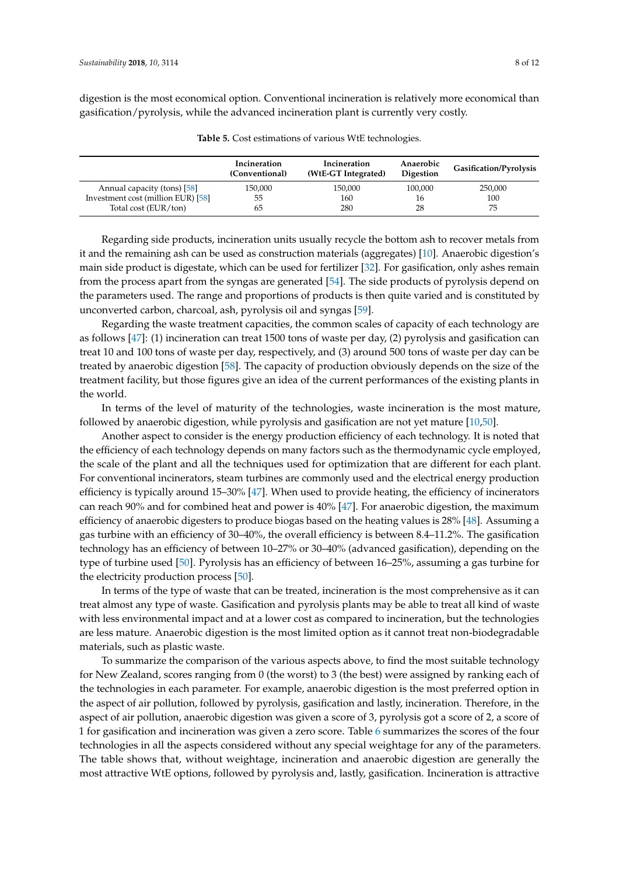digestion is the most economical option. Conventional incineration is relatively more economical than gasification/pyrolysis, while the advanced incineration plant is currently very costly.

<span id="page-7-0"></span>

|                                    | Incineration<br>(Conventional) | Incineration<br>(WtE-GT Integrated) | Anaerobic<br><b>Digestion</b> | <b>Gasification/Pyrolysis</b> |
|------------------------------------|--------------------------------|-------------------------------------|-------------------------------|-------------------------------|
| Annual capacity (tons) [58]        | 150,000                        | 150,000                             | 100,000                       | 250,000                       |
| Investment cost (million EUR) [58] | 55                             | 160                                 | 16                            | 100                           |
| Total cost (EUR/ton)               | 65                             | 280                                 | 28                            | 75                            |

**Table 5.** Cost estimations of various WtE technologies.

Regarding side products, incineration units usually recycle the bottom ash to recover metals from it and the remaining ash can be used as construction materials (aggregates) [\[10\]](#page-9-9). Anaerobic digestion's main side product is digestate, which can be used for fertilizer [\[32\]](#page-10-17). For gasification, only ashes remain from the process apart from the syngas are generated [\[54\]](#page-11-13). The side products of pyrolysis depend on the parameters used. The range and proportions of products is then quite varied and is constituted by unconverted carbon, charcoal, ash, pyrolysis oil and syngas [\[59\]](#page-11-18).

Regarding the waste treatment capacities, the common scales of capacity of each technology are as follows [\[47\]](#page-11-7): (1) incineration can treat 1500 tons of waste per day, (2) pyrolysis and gasification can treat 10 and 100 tons of waste per day, respectively, and (3) around 500 tons of waste per day can be treated by anaerobic digestion [\[58\]](#page-11-17). The capacity of production obviously depends on the size of the treatment facility, but those figures give an idea of the current performances of the existing plants in the world.

In terms of the level of maturity of the technologies, waste incineration is the most mature, followed by anaerobic digestion, while pyrolysis and gasification are not yet mature [\[10](#page-9-9)[,50\]](#page-11-10).

Another aspect to consider is the energy production efficiency of each technology. It is noted that the efficiency of each technology depends on many factors such as the thermodynamic cycle employed, the scale of the plant and all the techniques used for optimization that are different for each plant. For conventional incinerators, steam turbines are commonly used and the electrical energy production efficiency is typically around 15–30% [\[47\]](#page-11-7). When used to provide heating, the efficiency of incinerators can reach 90% and for combined heat and power is 40% [\[47\]](#page-11-7). For anaerobic digestion, the maximum efficiency of anaerobic digesters to produce biogas based on the heating values is 28% [\[48\]](#page-11-8). Assuming a gas turbine with an efficiency of 30–40%, the overall efficiency is between 8.4–11.2%. The gasification technology has an efficiency of between 10–27% or 30–40% (advanced gasification), depending on the type of turbine used [\[50\]](#page-11-10). Pyrolysis has an efficiency of between 16–25%, assuming a gas turbine for the electricity production process [\[50\]](#page-11-10).

In terms of the type of waste that can be treated, incineration is the most comprehensive as it can treat almost any type of waste. Gasification and pyrolysis plants may be able to treat all kind of waste with less environmental impact and at a lower cost as compared to incineration, but the technologies are less mature. Anaerobic digestion is the most limited option as it cannot treat non-biodegradable materials, such as plastic waste.

To summarize the comparison of the various aspects above, to find the most suitable technology for New Zealand, scores ranging from 0 (the worst) to 3 (the best) were assigned by ranking each of the technologies in each parameter. For example, anaerobic digestion is the most preferred option in the aspect of air pollution, followed by pyrolysis, gasification and lastly, incineration. Therefore, in the aspect of air pollution, anaerobic digestion was given a score of 3, pyrolysis got a score of 2, a score of 1 for gasification and incineration was given a zero score. Table [6](#page-8-0) summarizes the scores of the four technologies in all the aspects considered without any special weightage for any of the parameters. The table shows that, without weightage, incineration and anaerobic digestion are generally the most attractive WtE options, followed by pyrolysis and, lastly, gasification. Incineration is attractive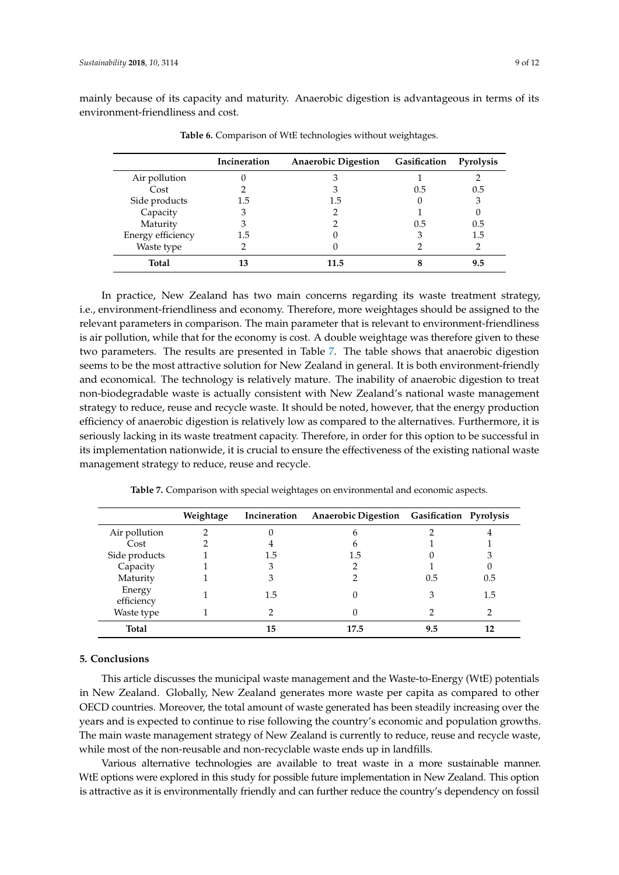<span id="page-8-0"></span>mainly because of its capacity and maturity. Anaerobic digestion is advantageous in terms of its environment-friendliness and cost.

|                   | Incineration | <b>Anaerobic Digestion</b> | Gasification | <b>Pyrolysis</b> |
|-------------------|--------------|----------------------------|--------------|------------------|
| Air pollution     |              |                            |              |                  |
| Cost              |              |                            | 0.5          | 0.5              |
| Side products     | 1.5          | 1.5                        |              |                  |
| Capacity          | 3            |                            |              |                  |
| Maturity          |              |                            | 0.5          | 0.5              |
| Energy efficiency | 1.5          |                            | З            | 1.5              |
| Waste type        |              |                            |              |                  |
| Total             |              | 11.5                       |              |                  |

**Table 6.** Comparison of WtE technologies without weightages.

In practice, New Zealand has two main concerns regarding its waste treatment strategy, i.e., environment-friendliness and economy. Therefore, more weightages should be assigned to the relevant parameters in comparison. The main parameter that is relevant to environment-friendliness is air pollution, while that for the economy is cost. A double weightage was therefore given to these two parameters. The results are presented in Table [7.](#page-8-1) The table shows that anaerobic digestion seems to be the most attractive solution for New Zealand in general. It is both environment-friendly and economical. The technology is relatively mature. The inability of anaerobic digestion to treat non-biodegradable waste is actually consistent with New Zealand's national waste management strategy to reduce, reuse and recycle waste. It should be noted, however, that the energy production efficiency of anaerobic digestion is relatively low as compared to the alternatives. Furthermore, it is seriously lacking in its waste treatment capacity. Therefore, in order for this option to be successful in its implementation nationwide, it is crucial to ensure the effectiveness of the existing national waste management strategy to reduce, reuse and recycle.

<span id="page-8-1"></span>

|                      | Weightage | Incineration | Anaerobic Digestion Gasification Pyrolysis |     |     |
|----------------------|-----------|--------------|--------------------------------------------|-----|-----|
| Air pollution        |           |              |                                            |     |     |
| Cost                 |           |              |                                            |     |     |
| Side products        |           | 1.5          | 1.5                                        |     |     |
| Capacity             |           | З            |                                            |     |     |
| Maturity             |           | З            |                                            | 0.5 | 0.5 |
| Energy<br>efficiency |           | 1.5          |                                            |     | 1.5 |
| Waste type           |           |              |                                            |     |     |
| Total                |           | 15           | 17.5                                       | 9.5 |     |

**Table 7.** Comparison with special weightages on environmental and economic aspects.

# **5. Conclusions**

This article discusses the municipal waste management and the Waste-to-Energy (WtE) potentials in New Zealand. Globally, New Zealand generates more waste per capita as compared to other OECD countries. Moreover, the total amount of waste generated has been steadily increasing over the years and is expected to continue to rise following the country's economic and population growths. The main waste management strategy of New Zealand is currently to reduce, reuse and recycle waste, while most of the non-reusable and non-recyclable waste ends up in landfills.

Various alternative technologies are available to treat waste in a more sustainable manner. WtE options were explored in this study for possible future implementation in New Zealand. This option is attractive as it is environmentally friendly and can further reduce the country's dependency on fossil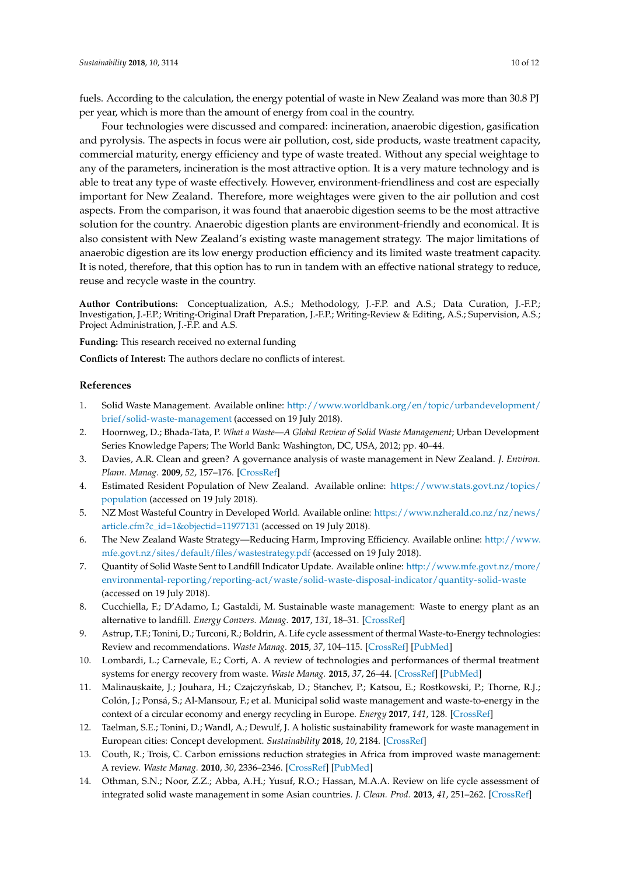fuels. According to the calculation, the energy potential of waste in New Zealand was more than 30.8 PJ per year, which is more than the amount of energy from coal in the country.

Four technologies were discussed and compared: incineration, anaerobic digestion, gasification and pyrolysis. The aspects in focus were air pollution, cost, side products, waste treatment capacity, commercial maturity, energy efficiency and type of waste treated. Without any special weightage to any of the parameters, incineration is the most attractive option. It is a very mature technology and is able to treat any type of waste effectively. However, environment-friendliness and cost are especially important for New Zealand. Therefore, more weightages were given to the air pollution and cost aspects. From the comparison, it was found that anaerobic digestion seems to be the most attractive solution for the country. Anaerobic digestion plants are environment-friendly and economical. It is also consistent with New Zealand's existing waste management strategy. The major limitations of anaerobic digestion are its low energy production efficiency and its limited waste treatment capacity. It is noted, therefore, that this option has to run in tandem with an effective national strategy to reduce, reuse and recycle waste in the country.

**Author Contributions:** Conceptualization, A.S.; Methodology, J.-F.P. and A.S.; Data Curation, J.-F.P.; Investigation, J.-F.P.; Writing-Original Draft Preparation, J.-F.P.; Writing-Review & Editing, A.S.; Supervision, A.S.; Project Administration, J.-F.P. and A.S.

**Funding:** This research received no external funding

**Conflicts of Interest:** The authors declare no conflicts of interest.

# **References**

- <span id="page-9-0"></span>1. Solid Waste Management. Available online: [http://www.worldbank.org/en/topic/urbandevelopment/](http://www.worldbank.org/en/topic/urbandevelopment/brief/solid-waste-management) [brief/solid-waste-management](http://www.worldbank.org/en/topic/urbandevelopment/brief/solid-waste-management) (accessed on 19 July 2018).
- <span id="page-9-1"></span>2. Hoornweg, D.; Bhada-Tata, P. *What a Waste—A Global Review of Solid Waste Management*; Urban Development Series Knowledge Papers; The World Bank: Washington, DC, USA, 2012; pp. 40–44.
- <span id="page-9-2"></span>3. Davies, A.R. Clean and green? A governance analysis of waste management in New Zealand. *J. Environ. Plann. Manag.* **2009**, *52*, 157–176. [\[CrossRef\]](http://dx.doi.org/10.1080/09640560802666503)
- <span id="page-9-3"></span>4. Estimated Resident Population of New Zealand. Available online: [https://www.stats.govt.nz/topics/](https://www.stats.govt.nz/topics/population) [population](https://www.stats.govt.nz/topics/population) (accessed on 19 July 2018).
- <span id="page-9-4"></span>5. NZ Most Wasteful Country in Developed World. Available online: [https://www.nzherald.co.nz/nz/news/](https://www.nzherald.co.nz/nz/news/article.cfm?c_id=1&objectid=11977131) [article.cfm?c\\_id=1&objectid=11977131](https://www.nzherald.co.nz/nz/news/article.cfm?c_id=1&objectid=11977131) (accessed on 19 July 2018).
- <span id="page-9-5"></span>6. The New Zealand Waste Strategy—Reducing Harm, Improving Efficiency. Available online: [http://www.](http://www.mfe.govt.nz/sites/default/files/wastestrategy.pdf) [mfe.govt.nz/sites/default/files/wastestrategy.pdf](http://www.mfe.govt.nz/sites/default/files/wastestrategy.pdf) (accessed on 19 July 2018).
- <span id="page-9-6"></span>7. Quantity of Solid Waste Sent to Landfill Indicator Update. Available online: [http://www.mfe.govt.nz/more/](http://www.mfe.govt.nz/more/environmental-reporting/reporting-act/waste/solid-waste-disposal-indicator/quantity-solid-waste) [environmental-reporting/reporting-act/waste/solid-waste-disposal-indicator/quantity-solid-waste](http://www.mfe.govt.nz/more/environmental-reporting/reporting-act/waste/solid-waste-disposal-indicator/quantity-solid-waste) (accessed on 19 July 2018).
- <span id="page-9-7"></span>8. Cucchiella, F.; D'Adamo, I.; Gastaldi, M. Sustainable waste management: Waste to energy plant as an alternative to landfill. *Energy Convers. Manag.* **2017**, *131*, 18–31. [\[CrossRef\]](http://dx.doi.org/10.1016/j.enconman.2016.11.012)
- <span id="page-9-8"></span>9. Astrup, T.F.; Tonini, D.; Turconi, R.; Boldrin, A. Life cycle assessment of thermal Waste-to-Energy technologies: Review and recommendations. *Waste Manag.* **2015**, *37*, 104–115. [\[CrossRef\]](http://dx.doi.org/10.1016/j.wasman.2014.06.011) [\[PubMed\]](http://www.ncbi.nlm.nih.gov/pubmed/25052337)
- <span id="page-9-9"></span>10. Lombardi, L.; Carnevale, E.; Corti, A. A review of technologies and performances of thermal treatment systems for energy recovery from waste. *Waste Manag.* **2015**, *37*, 26–44. [\[CrossRef\]](http://dx.doi.org/10.1016/j.wasman.2014.11.010) [\[PubMed\]](http://www.ncbi.nlm.nih.gov/pubmed/25535103)
- <span id="page-9-10"></span>11. Malinauskaite, J.; Jouhara, H.; Czajczyńskab, D.; Stanchev, P.; Katsou, E.; Rostkowski, P.; Thorne, R.J.; Colón, J.; Ponsá, S.; Al-Mansour, F.; et al. Municipal solid waste management and waste-to-energy in the context of a circular economy and energy recycling in Europe. *Energy* **2017**, *141*, 128. [\[CrossRef\]](http://dx.doi.org/10.1016/j.energy.2017.11.128)
- <span id="page-9-11"></span>12. Taelman, S.E.; Tonini, D.; Wandl, A.; Dewulf, J. A holistic sustainability framework for waste management in European cities: Concept development. *Sustainability* **2018**, *10*, 2184. [\[CrossRef\]](http://dx.doi.org/10.3390/su10072184)
- <span id="page-9-12"></span>13. Couth, R.; Trois, C. Carbon emissions reduction strategies in Africa from improved waste management: A review. *Waste Manag.* **2010**, *30*, 2336–2346. [\[CrossRef\]](http://dx.doi.org/10.1016/j.wasman.2010.04.013) [\[PubMed\]](http://www.ncbi.nlm.nih.gov/pubmed/20452197)
- <span id="page-9-13"></span>14. Othman, S.N.; Noor, Z.Z.; Abba, A.H.; Yusuf, R.O.; Hassan, M.A.A. Review on life cycle assessment of integrated solid waste management in some Asian countries. *J. Clean. Prod.* **2013**, *41*, 251–262. [\[CrossRef\]](http://dx.doi.org/10.1016/j.jclepro.2012.09.043)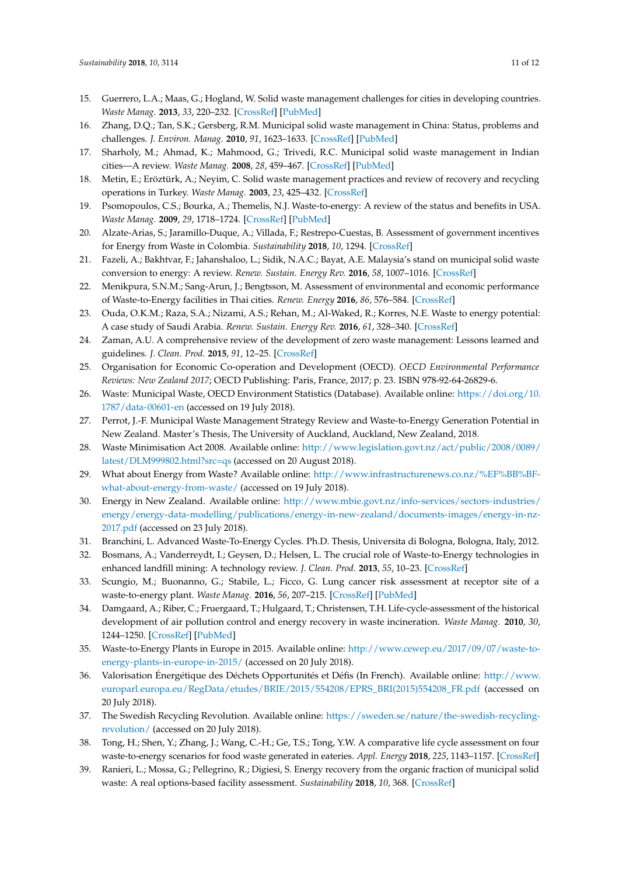- <span id="page-10-0"></span>15. Guerrero, L.A.; Maas, G.; Hogland, W. Solid waste management challenges for cities in developing countries. *Waste Manag.* **2013**, *33*, 220–232. [\[CrossRef\]](http://dx.doi.org/10.1016/j.wasman.2012.09.008) [\[PubMed\]](http://www.ncbi.nlm.nih.gov/pubmed/23098815)
- <span id="page-10-1"></span>16. Zhang, D.Q.; Tan, S.K.; Gersberg, R.M. Municipal solid waste management in China: Status, problems and challenges. *J. Environ. Manag.* **2010**, *91*, 1623–1633. [\[CrossRef\]](http://dx.doi.org/10.1016/j.jenvman.2010.03.012) [\[PubMed\]](http://www.ncbi.nlm.nih.gov/pubmed/20413209)
- <span id="page-10-2"></span>17. Sharholy, M.; Ahmad, K.; Mahmood, G.; Trivedi, R.C. Municipal solid waste management in Indian cities—A review. *Waste Manag.* **2008**, *28*, 459–467. [\[CrossRef\]](http://dx.doi.org/10.1016/j.wasman.2007.02.008) [\[PubMed\]](http://www.ncbi.nlm.nih.gov/pubmed/17433664)
- <span id="page-10-3"></span>18. Metin, E.; Eröztürk, A.; Neyim, C. Solid waste management practices and review of recovery and recycling operations in Turkey. *Waste Manag.* **2003**, *23*, 425–432. [\[CrossRef\]](http://dx.doi.org/10.1016/S0956-053X(03)00070-9)
- <span id="page-10-4"></span>19. Psomopoulos, C.S.; Bourka, A.; Themelis, N.J. Waste-to-energy: A review of the status and benefits in USA. *Waste Manag.* **2009**, *29*, 1718–1724. [\[CrossRef\]](http://dx.doi.org/10.1016/j.wasman.2008.11.020) [\[PubMed\]](http://www.ncbi.nlm.nih.gov/pubmed/19153036)
- <span id="page-10-5"></span>20. Alzate-Arias, S.; Jaramillo-Duque, A.; Villada, F.; Restrepo-Cuestas, B. Assessment of government incentives for Energy from Waste in Colombia. *Sustainability* **2018**, *10*, 1294. [\[CrossRef\]](http://dx.doi.org/10.3390/su10041294)
- <span id="page-10-6"></span>21. Fazeli, A.; Bakhtvar, F.; Jahanshaloo, L.; Sidik, N.A.C.; Bayat, A.E. Malaysia's stand on municipal solid waste conversion to energy: A review. *Renew. Sustain. Energy Rev.* **2016**, *58*, 1007–1016. [\[CrossRef\]](http://dx.doi.org/10.1016/j.rser.2015.12.270)
- <span id="page-10-7"></span>22. Menikpura, S.N.M.; Sang-Arun, J.; Bengtsson, M. Assessment of environmental and economic performance of Waste-to-Energy facilities in Thai cities. *Renew. Energy* **2016**, *86*, 576–584. [\[CrossRef\]](http://dx.doi.org/10.1016/j.renene.2015.08.054)
- <span id="page-10-8"></span>23. Ouda, O.K.M.; Raza, S.A.; Nizami, A.S.; Rehan, M.; Al-Waked, R.; Korres, N.E. Waste to energy potential: A case study of Saudi Arabia. *Renew. Sustain. Energy Rev.* **2016**, *61*, 328–340. [\[CrossRef\]](http://dx.doi.org/10.1016/j.rser.2016.04.005)
- <span id="page-10-9"></span>24. Zaman, A.U. A comprehensive review of the development of zero waste management: Lessons learned and guidelines. *J. Clean. Prod.* **2015**, *91*, 12–25. [\[CrossRef\]](http://dx.doi.org/10.1016/j.jclepro.2014.12.013)
- <span id="page-10-10"></span>25. Organisation for Economic Co-operation and Development (OECD). *OECD Environmental Performance Reviews: New Zealand 2017*; OECD Publishing: Paris, France, 2017; p. 23. ISBN 978-92-64-26829-6.
- <span id="page-10-11"></span>26. Waste: Municipal Waste, OECD Environment Statistics (Database). Available online: [https://doi.org/10.](https://doi.org/10.1787/data-00601-en) [1787/data-00601-en](https://doi.org/10.1787/data-00601-en) (accessed on 19 July 2018).
- <span id="page-10-12"></span>27. Perrot, J.-F. Municipal Waste Management Strategy Review and Waste-to-Energy Generation Potential in New Zealand. Master's Thesis, The University of Auckland, Auckland, New Zealand, 2018.
- <span id="page-10-13"></span>28. Waste Minimisation Act 2008. Available online: [http://www.legislation.govt.nz/act/public/2008/0089/](http://www.legislation.govt.nz/act/public/2008/0089/latest/DLM999802.html?src=qs) [latest/DLM999802.html?src=qs](http://www.legislation.govt.nz/act/public/2008/0089/latest/DLM999802.html?src=qs) (accessed on 20 August 2018).
- <span id="page-10-14"></span>29. What about Energy from Waste? Available online: [http://www.infrastructurenews.co.nz/%EF%BB%BF](http://www.infrastructurenews.co.nz/%EF%BB%BF-what-about-energy-from-waste/)[what-about-energy-from-waste/](http://www.infrastructurenews.co.nz/%EF%BB%BF-what-about-energy-from-waste/) (accessed on 19 July 2018).
- <span id="page-10-15"></span>30. Energy in New Zealand. Available online: [http://www.mbie.govt.nz/info-services/sectors-industries/](http://www.mbie.govt.nz/info-services/sectors-industries/energy/energy-data-modelling/publications/energy-in-new-zealand/documents-images/energy-in-nz-2017.pdf) [energy/energy-data-modelling/publications/energy-in-new-zealand/documents-images/energy-in-nz-](http://www.mbie.govt.nz/info-services/sectors-industries/energy/energy-data-modelling/publications/energy-in-new-zealand/documents-images/energy-in-nz-2017.pdf)[2017.pdf](http://www.mbie.govt.nz/info-services/sectors-industries/energy/energy-data-modelling/publications/energy-in-new-zealand/documents-images/energy-in-nz-2017.pdf) (accessed on 23 July 2018).
- <span id="page-10-16"></span>31. Branchini, L. Advanced Waste-To-Energy Cycles. Ph.D. Thesis, Universita di Bologna, Bologna, Italy, 2012.
- <span id="page-10-17"></span>32. Bosmans, A.; Vanderreydt, I.; Geysen, D.; Helsen, L. The crucial role of Waste-to-Energy technologies in enhanced landfill mining: A technology review. *J. Clean. Prod.* **2013**, *55*, 10–23. [\[CrossRef\]](http://dx.doi.org/10.1016/j.jclepro.2012.05.032)
- <span id="page-10-18"></span>33. Scungio, M.; Buonanno, G.; Stabile, L.; Ficco, G. Lung cancer risk assessment at receptor site of a waste-to-energy plant. *Waste Manag.* **2016**, *56*, 207–215. [\[CrossRef\]](http://dx.doi.org/10.1016/j.wasman.2016.07.027) [\[PubMed\]](http://www.ncbi.nlm.nih.gov/pubmed/27462027)
- <span id="page-10-19"></span>34. Damgaard, A.; Riber, C.; Fruergaard, T.; Hulgaard, T.; Christensen, T.H. Life-cycle-assessment of the historical development of air pollution control and energy recovery in waste incineration. *Waste Manag.* **2010**, *30*, 1244–1250. [\[CrossRef\]](http://dx.doi.org/10.1016/j.wasman.2010.03.025) [\[PubMed\]](http://www.ncbi.nlm.nih.gov/pubmed/20378326)
- <span id="page-10-20"></span>35. Waste-to-Energy Plants in Europe in 2015. Available online: [http://www.cewep.eu/2017/09/07/waste-to](http://www.cewep.eu/2017/09/07/waste-to-energy-plants-in-europe-in-2015/)[energy-plants-in-europe-in-2015/](http://www.cewep.eu/2017/09/07/waste-to-energy-plants-in-europe-in-2015/) (accessed on 20 July 2018).
- <span id="page-10-21"></span>36. Valorisation Énergétique des Déchets Opportunités et Défis (In French). Available online: [http://www.](http://www.europarl.europa.eu/RegData/etudes/BRIE/2015/554208/EPRS_BRI(2015)554208_FR.pdf) [europarl.europa.eu/RegData/etudes/BRIE/2015/554208/EPRS\\_BRI\(2015\)554208\\_FR.pdf](http://www.europarl.europa.eu/RegData/etudes/BRIE/2015/554208/EPRS_BRI(2015)554208_FR.pdf) (accessed on 20 July 2018).
- <span id="page-10-22"></span>37. The Swedish Recycling Revolution. Available online: [https://sweden.se/nature/the-swedish-recycling](https://sweden.se/nature/the-swedish-recycling-revolution/)[revolution/](https://sweden.se/nature/the-swedish-recycling-revolution/) (accessed on 20 July 2018).
- <span id="page-10-23"></span>38. Tong, H.; Shen, Y.; Zhang, J.; Wang, C.-H.; Ge, T.S.; Tong, Y.W. A comparative life cycle assessment on four waste-to-energy scenarios for food waste generated in eateries. *Appl. Energy* **2018**, *225*, 1143–1157. [\[CrossRef\]](http://dx.doi.org/10.1016/j.apenergy.2018.05.062)
- <span id="page-10-24"></span>39. Ranieri, L.; Mossa, G.; Pellegrino, R.; Digiesi, S. Energy recovery from the organic fraction of municipal solid waste: A real options-based facility assessment. *Sustainability* **2018**, *10*, 368. [\[CrossRef\]](http://dx.doi.org/10.3390/su10020368)